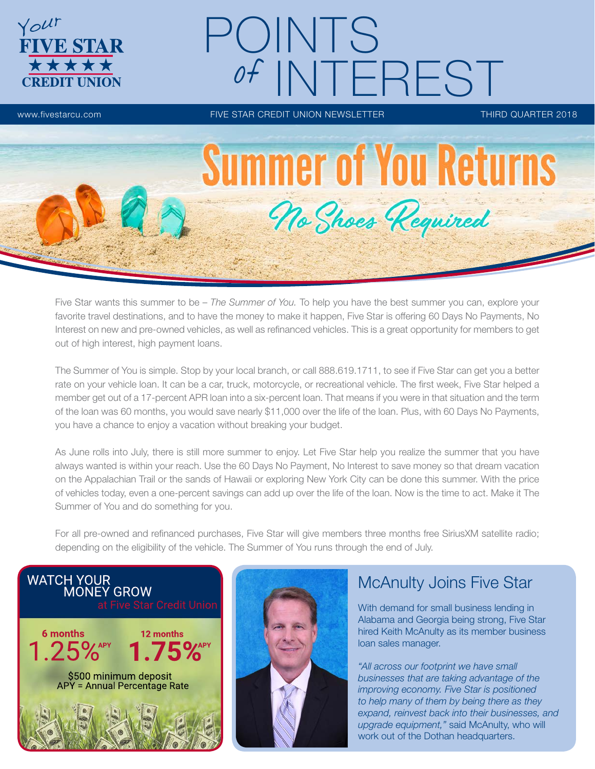

# POINTS NTEREST

www.fivestarcu.com **FIVE STAR CREDIT UNION NEWSLETTER** THIRD QUARTER 2018



Five Star wants this summer to be – *The Summer of You.* To help you have the best summer you can, explore your favorite travel destinations, and to have the money to make it happen, Five Star is offering 60 Days No Payments, No Interest on new and pre-owned vehicles, as well as refinanced vehicles. This is a great opportunity for members to get out of high interest, high payment loans.

The Summer of You is simple. Stop by your local branch, or call 888.619.1711, to see if Five Star can get you a better rate on your vehicle loan. It can be a car, truck, motorcycle, or recreational vehicle. The first week, Five Star helped a member get out of a 17-percent APR loan into a six-percent loan. That means if you were in that situation and the term of the loan was 60 months, you would save nearly \$11,000 over the life of the loan. Plus, with 60 Days No Payments, you have a chance to enjoy a vacation without breaking your budget.

As June rolls into July, there is still more summer to enjoy. Let Five Star help you realize the summer that you have always wanted is within your reach. Use the 60 Days No Payment, No Interest to save money so that dream vacation on the Appalachian Trail or the sands of Hawaii or exploring New York City can be done this summer. With the price of vehicles today, even a one-percent savings can add up over the life of the loan. Now is the time to act. Make it The Summer of You and do something for you.

For all pre-owned and refinanced purchases, Five Star will give members three months free SiriusXM satellite radio; depending on the eligibility of the vehicle. The Summer of You runs through the end of July.





## McAnulty Joins Five Star

With demand for small business lending in Alabama and Georgia being strong, Five Star hired Keith McAnulty as its member business loan sales manager.

*"All across our footprint we have small businesses that are taking advantage of the improving economy. Five Star is positioned to help many of them by being there as they expand, reinvest back into their businesses, and upgrade equipment,"* said McAnulty, who will work out of the Dothan headquarters.